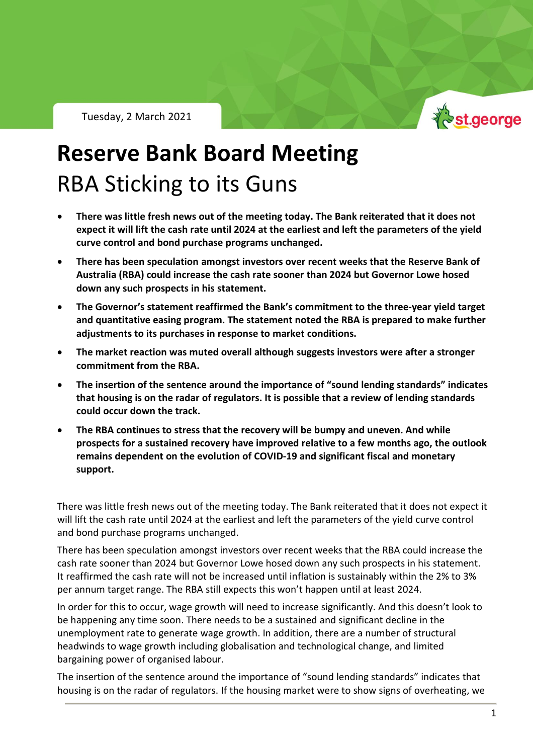Tuesday, 2 March 2021



## **Reserve Bank Board Meeting** RBA Sticking to its Guns

- **There was little fresh news out of the meeting today. The Bank reiterated that it does not expect it will lift the cash rate until 2024 at the earliest and left the parameters of the yield curve control and bond purchase programs unchanged.**
- **There has been speculation amongst investors over recent weeks that the Reserve Bank of Australia (RBA) could increase the cash rate sooner than 2024 but Governor Lowe hosed down any such prospects in his statement.**
- **The Governor's statement reaffirmed the Bank's commitment to the three-year yield target and quantitative easing program. The statement noted the RBA is prepared to make further adjustments to its purchases in response to market conditions.**
- **The market reaction was muted overall although suggests investors were after a stronger commitment from the RBA.**
- **The insertion of the sentence around the importance of "sound lending standards" indicates that housing is on the radar of regulators. It is possible that a review of lending standards could occur down the track.**
- **The RBA continues to stress that the recovery will be bumpy and uneven. And while prospects for a sustained recovery have improved relative to a few months ago, the outlook remains dependent on the evolution of COVID-19 and significant fiscal and monetary support.**

There was little fresh news out of the meeting today. The Bank reiterated that it does not expect it will lift the cash rate until 2024 at the earliest and left the parameters of the yield curve control and bond purchase programs unchanged.

There has been speculation amongst investors over recent weeks that the RBA could increase the cash rate sooner than 2024 but Governor Lowe hosed down any such prospects in his statement. It reaffirmed the cash rate will not be increased until inflation is sustainably within the 2% to 3% per annum target range. The RBA still expects this won't happen until at least 2024.

In order for this to occur, wage growth will need to increase significantly. And this doesn't look to be happening any time soon. There needs to be a sustained and significant decline in the unemployment rate to generate wage growth. In addition, there are a number of structural headwinds to wage growth including globalisation and technological change, and limited bargaining power of organised labour.

The insertion of the sentence around the importance of "sound lending standards" indicates that housing is on the radar of regulators. If the housing market were to show signs of overheating, we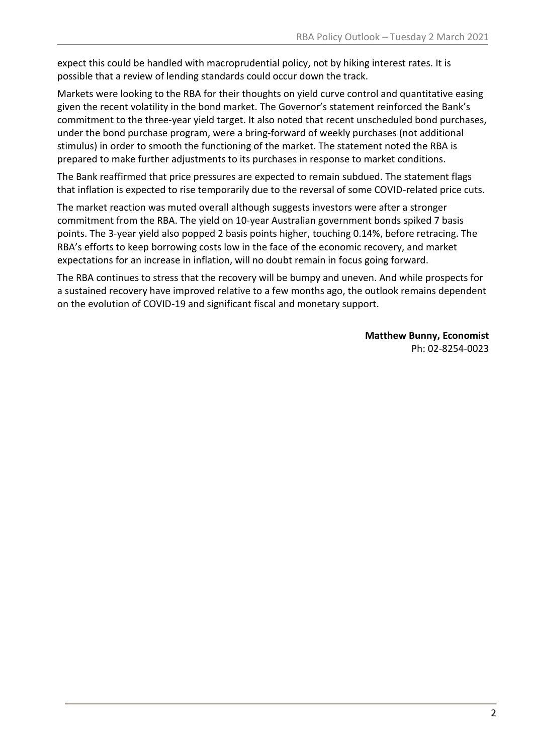expect this could be handled with macroprudential policy, not by hiking interest rates. It is possible that a review of lending standards could occur down the track.

Markets were looking to the RBA for their thoughts on yield curve control and quantitative easing given the recent volatility in the bond market. The Governor's statement reinforced the Bank's commitment to the three-year yield target. It also noted that recent unscheduled bond purchases, under the bond purchase program, were a bring-forward of weekly purchases (not additional stimulus) in order to smooth the functioning of the market. The statement noted the RBA is prepared to make further adjustments to its purchases in response to market conditions.

The Bank reaffirmed that price pressures are expected to remain subdued. The statement flags that inflation is expected to rise temporarily due to the reversal of some COVID-related price cuts.

The market reaction was muted overall although suggests investors were after a stronger commitment from the RBA. The yield on 10-year Australian government bonds spiked 7 basis points. The 3-year yield also popped 2 basis points higher, touching 0.14%, before retracing. The RBA's efforts to keep borrowing costs low in the face of the economic recovery, and market expectations for an increase in inflation, will no doubt remain in focus going forward.

The RBA continues to stress that the recovery will be bumpy and uneven. And while prospects for a sustained recovery have improved relative to a few months ago, the outlook remains dependent on the evolution of COVID-19 and significant fiscal and monetary support.

> **Matthew Bunny, Economist** Ph: 02-8254-0023